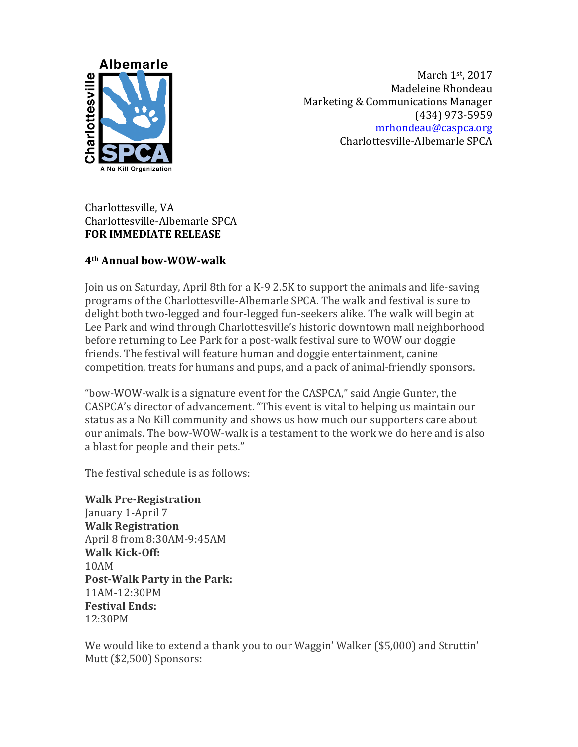

March 1st, 2017 Madeleine Rhondeau Marketing & Communications Manager (434) 973-5959 [mrhondeau@caspca.org](mailto:mrhondeau@caspca.org) Charlottesville-Albemarle SPCA

Charlottesville, VA Charlottesville-Albemarle SPCA **FOR IMMEDIATE RELEASE** 

## **4th Annual bow-WOW-walk**

Join us on Saturday, April 8th for a K-9 2.5K to support the animals and life-saving programs of the Charlottesville-Albemarle SPCA. The walk and festival is sure to delight both two-legged and four-legged fun-seekers alike. The walk will begin at Lee Park and wind through Charlottesville's historic downtown mall neighborhood before returning to Lee Park for a post-walk festival sure to WOW our doggie friends. The festival will feature human and doggie entertainment, canine competition, treats for humans and pups, and a pack of animal-friendly sponsors.

"bow-WOW-walk is a signature event for the CASPCA," said Angie Gunter, the CASPCA's director of advancement. "This event is vital to helping us maintain our status as a No Kill community and shows us how much our supporters care about our animals. The bow-WOW-walk is a testament to the work we do here and is also a blast for people and their pets."

The festival schedule is as follows:

**Walk Pre-Registration** January 1-April 7 **Walk Registration** April 8 from 8:30AM-9:45AM **Walk Kick-Off:** 10AM **Post-Walk Party in the Park:** 11AM-12:30PM **Festival Ends:** 12:30PM

We would like to extend a thank you to our Waggin' Walker (\$5,000) and Struttin' Mutt (\$2,500) Sponsors: